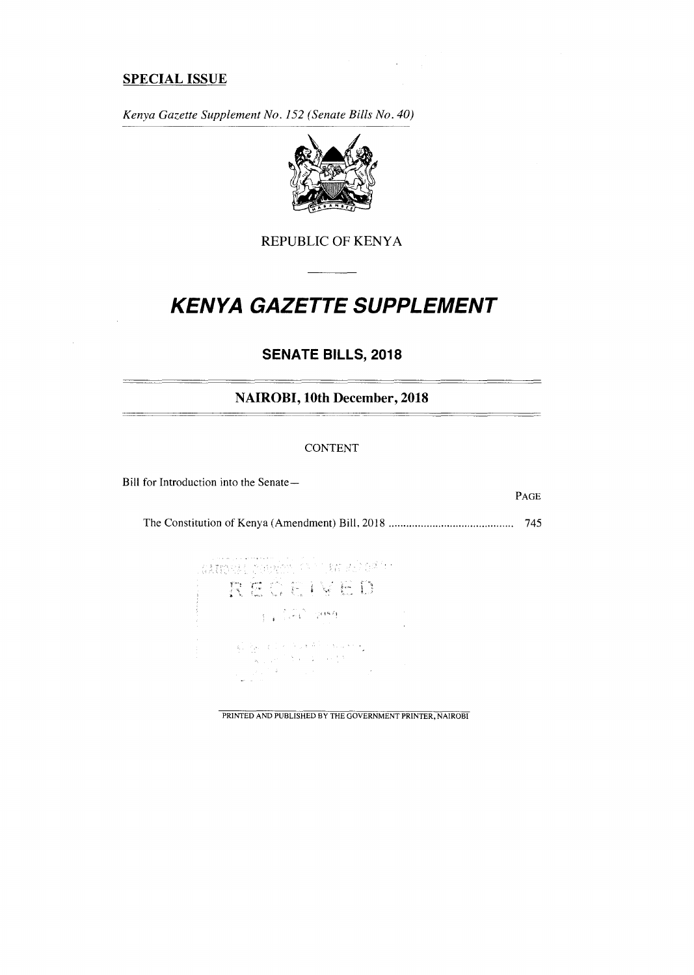## **SPECIAL ISSUE**

*Kenya Gazette Supplement No. 152 (Senate Bills No. 40)* 



REPUBLIC OF KENYA

# **KENYA GAZETTE SUPPLEMENT**

## **SENATE BILLS, 2018**

**NAIROBI, 10th December, 2018** 

#### CONTENT

Bill for Introduction into the Senate—

PAGE

The Constitution of Kenya (Amendment) Bill, 2018 745

| 高度联合的表示 计数据数据 不可行为 经最后的 医无子宫神经的<br>REGEIVED                                                                                                                                                                                                                                                                                                                                                                                                                      |  |
|------------------------------------------------------------------------------------------------------------------------------------------------------------------------------------------------------------------------------------------------------------------------------------------------------------------------------------------------------------------------------------------------------------------------------------------------------------------|--|
| $\mathbb{E}[\mathbf{z}^{\top} \mathbf{z}^{\top} \mathbf{z}^{\top}] = \mathbb{E}[\mathbf{z}^{\top} \mathbf{z}^{\top}]$                                                                                                                                                                                                                                                                                                                                            |  |
| $\begin{split} \frac{1}{2\sqrt{2}}\left[\frac{1}{\sqrt{2}}\mathbf{g}_{\mu\nu} - \mathbf{g}_{\mu\nu} \right] &\geq \sqrt{2} \left[\frac{1}{2} \left( \mathbf{g}_{\mu\nu} \mathbf{g}_{\nu} \right)^2 + \mathbf{g}_{\mu\nu} \mathbf{g}_{\mu\nu} \mathbf{g}_{\nu\nu} \right] \\ &\qquad\qquad - \frac{1}{2\sqrt{2}}\left[\frac{1}{2} \left( \mathbf{g}_{\mu\nu} \right) - \mathbf{g}_{\mu\nu} \right] &\geq \sqrt{2} \left[ \frac{1}{2} \mathbf{$<br>しんじゅうしょう アール・ブラ |  |

PRINTED AND PUBLISHED BY THE GOVERNMENT PRINTER, NAIROBI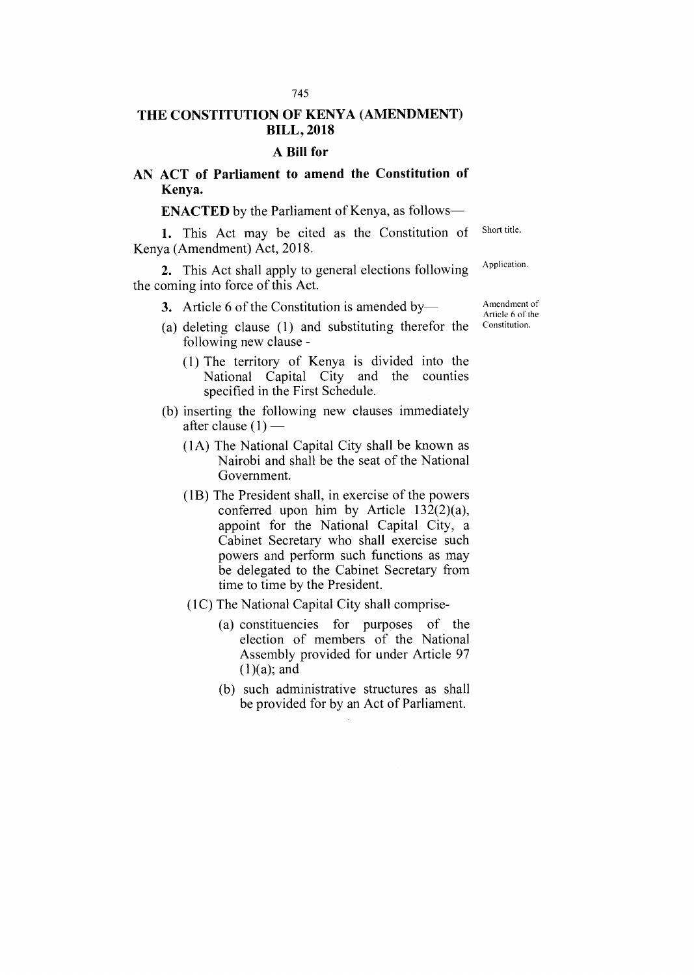## **THE CONSTITUTION OF KENYA (AMENDMENT) BILL, 2018**

#### **A Bill for**

### **AN ACT of Parliament to amend the Constitution of Kenya.**

## **ENACTED** by the Parliament of Kenya, as follows-

1. This Act may be cited as the Constitution of Kenya (Amendment) Act, 2018. Short title.

2. This Act shall apply to general elections following the coming into force of this Act. Application.

3. Article 6 of the Constitution is amended by—

- (a) deleting clause (1) and substituting therefor the following new clause -
	- (1) The territory of Kenya is divided into the National Capital City and the counties specified in the First Schedule.
- (b) inserting the following new clauses immediately after clause  $(1)$  –
	- (1A) The National Capital City shall be known as Nairobi and shall be the seat of the National Government.
	- (1B) The President shall, in exercise of the powers conferred upon him by Article 132(2)(a), appoint for the National Capital City, a Cabinet Secretary who shall exercise such powers and perform such functions as may be delegated to the Cabinet Secretary from time to time by the President.
	- (1C) The National Capital City shall comprise-
		- (a) constituencies for purposes of the election of members of the National Assembly provided for under Article 97  $(1)(a)$ ; and
		- (b) such administrative structures as shall be provided for by an Act of Parliament.

Amendment of Article 6 of the Constitution.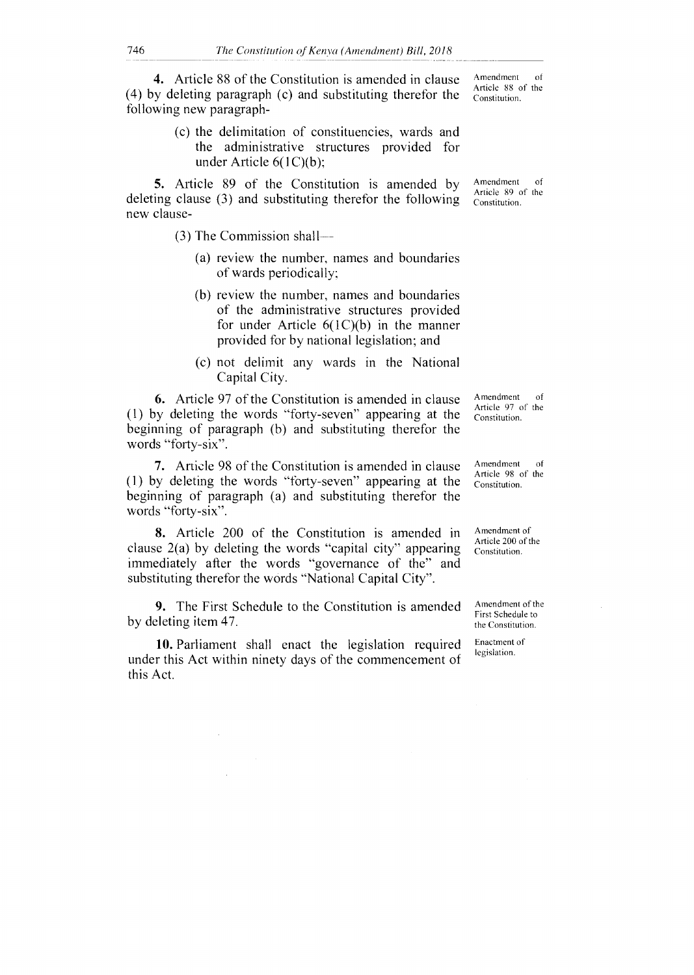4. Article 88 of the Constitution is amended in clause (4) by deleting paragraph (c) and substituting therefor the following new paragraph-

> (c) the delimitation of constituencies, wards and the administrative structures provided for under Article 6(1C)(b);

5. Article 89 of the Constitution is amended by deleting clause (3) and substituting therefor the following new clause-

(3) The Commission shall

- (a) review the number, names and boundaries of wards periodically;
- (b) review the number, names and boundaries of the administrative structures provided for under Article 6(1C)(b) in the manner provided for by national legislation; and
- (c) not delimit any wards in the National Capital City.

6. Article 97 of the Constitution is amended in clause (1) by deleting the words "forty-seven" appearing at the beginning of paragraph (b) and substituting therefor the words "forty-six".

7. Article 98 of the Constitution is amended in clause (1) by deleting the words "forty-seven" appearing at the beginning of paragraph (a) and substituting therefor the words "forty-six".

8. Article 200 of the Constitution is amended in clause 2(a) by deleting the words "capital city" appearing immediately after the words "governance of the" and substituting therefor the words "National Capital City".

9. The First Schedule to the Constitution is amended by deleting item 47.

10. Parliament shall enact the legislation required under this Act within ninety days of the commencement of this Act.

Amendment of Article 88 of the Constitution.

Amendment of Article 89 of the Constitution.

Amendment of Article 97 of the Constitution.

Amendment of Article 98 of the Constitution.

Amendment of Article 200 of the Constitution.

Amendment of the First Schedule to the Constitution.

Enactment of legislation.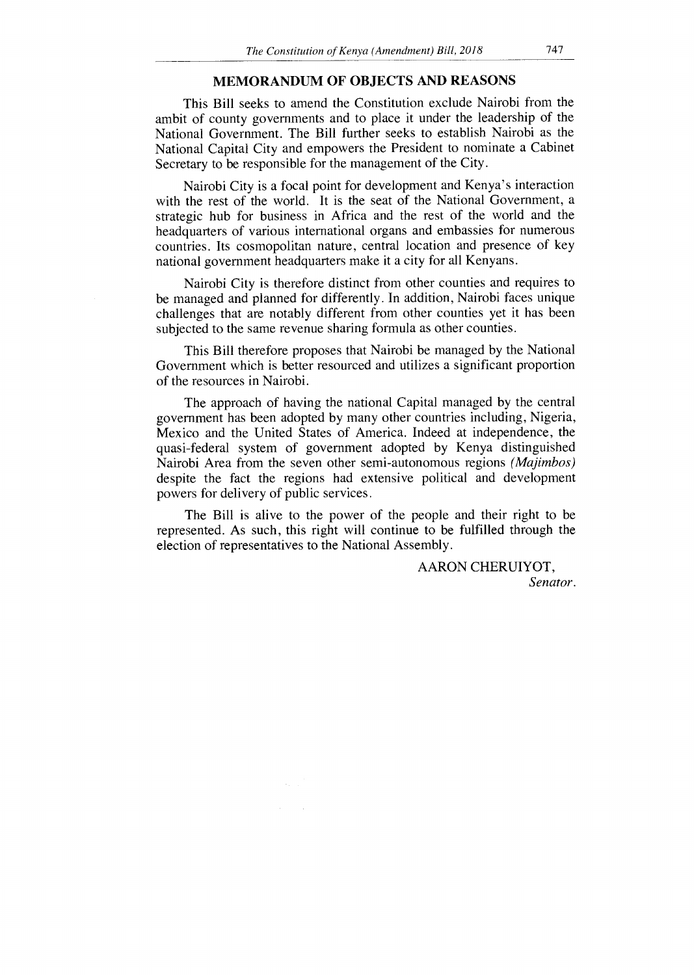#### MEMORANDUM OF OBJECTS AND REASONS

This Bill seeks to amend the Constitution exclude Nairobi from the ambit of county governments and to place it under the leadership of the National Government. The Bill further seeks to establish Nairobi as the National Capital City and empowers the President to nominate a Cabinet Secretary to be responsible for the management of the City.

Nairobi City is a focal point for development and Kenya's interaction with the rest of the world. It is the seat of the National Government, a strategic hub for business in Africa and the rest of the world and the headquarters of various international organs and embassies for numerous countries. Its cosmopolitan nature, central location and presence of key national government headquarters make it a city for all Kenyans.

Nairobi City is therefore distinct from other counties and requires to be managed and planned for differently. In addition, Nairobi faces unique challenges that are notably different from other counties yet it has been subjected to the same revenue sharing formula as other counties.

This Bill therefore proposes that Nairobi be managed by the National Government which is better resourced and utilizes a significant proportion of the resources in Nairobi.

The approach of having the national Capital managed by the central government has been adopted by many other countries including, Nigeria, Mexico and the United States of America. Indeed at independence, the quasi-federal system of government adopted by Kenya distinguished Nairobi Area from the seven other semi-autonomous regions *(Majimbos)*  despite the fact the regions had extensive political and development powers for delivery of public services.

The Bill is alive to the power of the people and their right to be represented. As such, this right will continue to be fulfilled through the election of representatives to the National Assembly.

> AARON CHERUIYOT, *Senator.*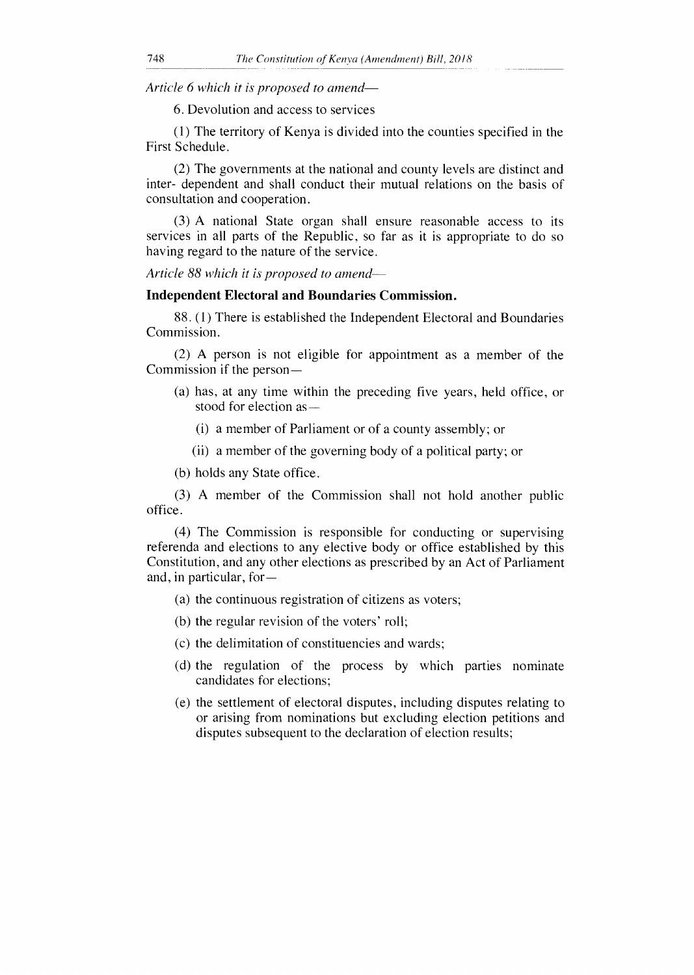*Article 6 which it is proposed to amend-*

6. Devolution and access to services

(1) The territory of Kenya is divided into the counties specified in the First Schedule.

(2) The governments at the national and county levels are distinct and inter- dependent and shall conduct their mutual relations on the basis of consultation and cooperation.

(3) A national State organ shall ensure reasonable access to its services in all parts of the Republic, so far as it is appropriate to do so having regard to the nature of the service.

*Article 88 which it is proposed to amend* 

#### **Independent Electoral and Boundaries Commission.**

88. (1) There is established the Independent Electoral and Boundaries Commission.

(2) A person is not eligible for appointment as a member of the Commission if the person —

- (a) has, at any time within the preceding five years, held office, or stood for election as—
	- (i) a member of Parliament or of a county assembly; or
	- (ii) a member of the governing body of a political party; or
- (b) holds any State office.

(3) A member of the Commission shall not hold another public office.

(4) The Commission is responsible for conducting or supervising referenda and elections to any elective body or office established by this Constitution, and any other elections as prescribed by an Act of Parliament and, in particular, for —

- (a) the continuous registration of citizens as voters;
- (b) the regular revision of the voters' roll;
- (c) the delimitation of constituencies and wards;
- (d) the regulation of the process by which parties nominate candidates for elections;
- (e) the settlement of electoral disputes, including disputes relating to or arising from nominations but excluding election petitions and disputes subsequent to the declaration of election results;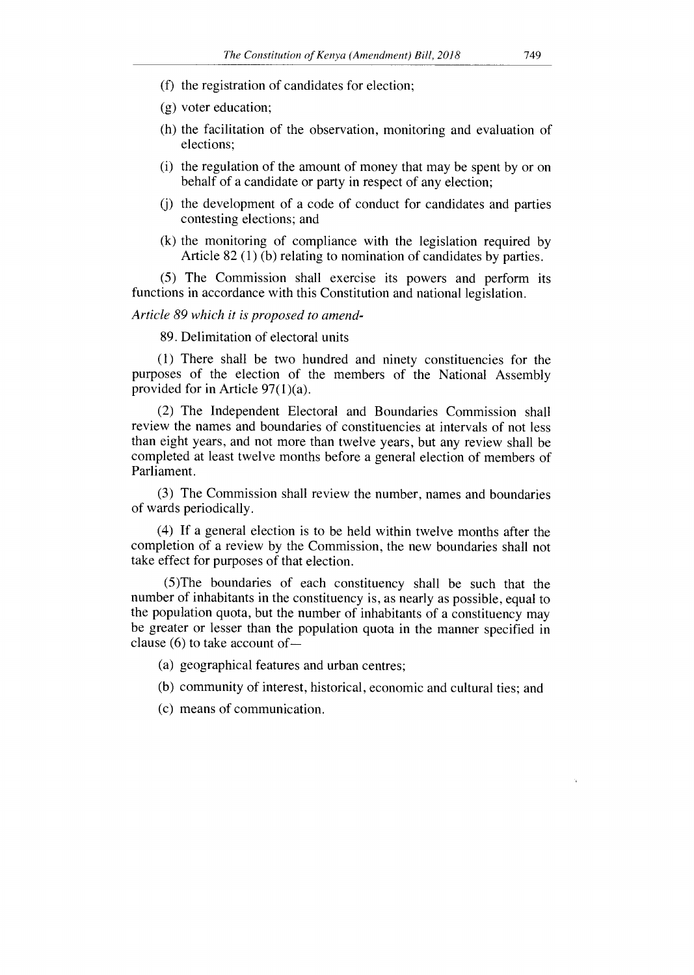- (f) the registration of candidates for election;
- (g) voter education;
- (h) the facilitation of the observation, monitoring and evaluation of elections;
- (i) the regulation of the amount of money that may be spent by or on behalf of a candidate or party in respect of any election;
- (j) the development of a code of conduct for candidates and parties contesting elections; and
- (k) the monitoring of compliance with the legislation required by Article 82 (1) (b) relating to nomination of candidates by parties.

(5) The Commission shall exercise its powers and perform its functions in accordance with this Constitution and national legislation.

#### *Article 89 which it is proposed to amend-*

89. Delimitation of electoral units

(1) There shall be two hundred and ninety constituencies for the purposes of the election of the members of the National Assembly provided for in Article 97(1)(a).

(2) The Independent Electoral and Boundaries Commission shall review the names and boundaries of constituencies at intervals of not less than eight years, and not more than twelve years, but any review shall be completed at least twelve months before a general election of members of Parliament.

(3) The Commission shall review the number, names and boundaries of wards periodically.

(4) If a general election is to be held within twelve months after the completion of a review by the Commission, the new boundaries shall not take effect for purposes of that election.

(5)The boundaries of each constituency shall be such that the number of inhabitants in the constituency is, as nearly as possible, equal to the population quota, but the number of inhabitants of a constituency may be greater or lesser than the population quota in the manner specified in clause (6) to take account of —

(a) geographical features and urban centres;

(b) community of interest, historical, economic and cultural ties; and

(c) means of communication.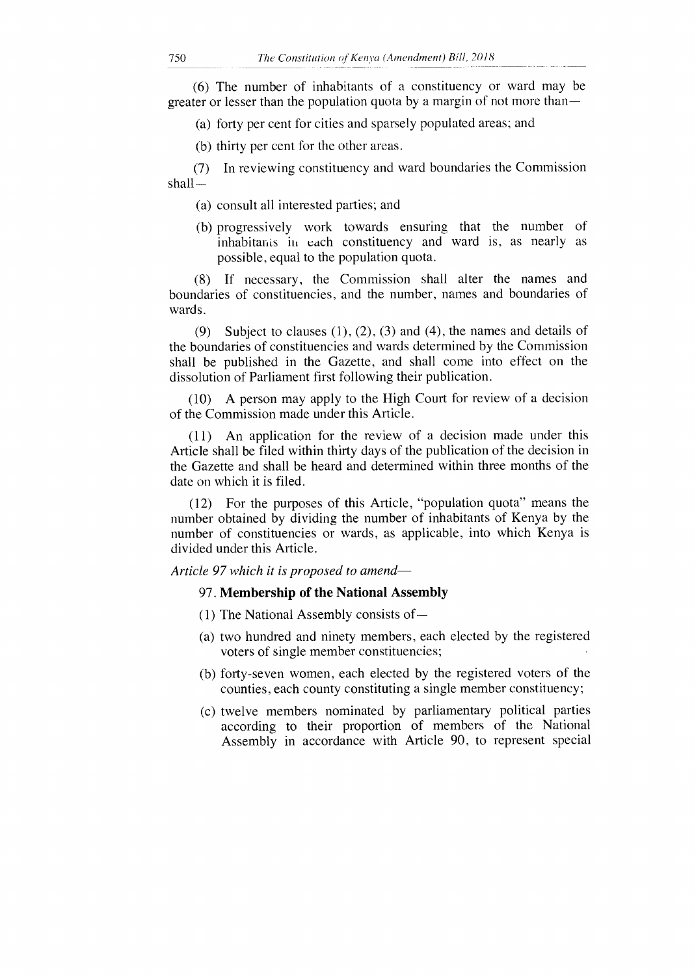(6) The number of inhabitants of a constituency or ward may be greater or lesser than the population quota by a margin of not more than —

(a) forty per cent for cities and sparsely populated areas; and

(b) thirty per cent for the other areas.

(7) In reviewing constituency and ward boundaries the Commission shall-

- (a) consult all interested parties; and
- (b) progressively work towards ensuring that the number of inhabitants in each constituency and ward is, as nearly as possible, equal to the population quota.

(8) If necessary, the Commission shall alter the names and boundaries of constituencies, and the number, names and boundaries of wards.

(9) Subject to clauses  $(1)$ ,  $(2)$ ,  $(3)$  and  $(4)$ , the names and details of the boundaries of constituencies and wards determined by the Commission shall be published in the Gazette, and shall come into effect on the dissolution of Parliament first following their publication.

(10) A person may apply to the High Court for review of a decision of the Commission made under this Article.

(11) An application for the review of a decision made under this Article shall be filed within thirty days of the publication of the decision in the Gazette and shall be heard and determined within three months of the date on which it is filed.

(12) For the purposes of this Article, "population quota" means the number obtained by dividing the number of inhabitants of Kenya by the number of constituencies or wards, as applicable, into which Kenya is divided under this Article.

#### *Article 97 which it is proposed to amend-*

#### 97. **Membership of the National Assembly**

- (1) The National Assembly consists of —
- (a) two hundred and ninety members, each elected by the registered voters of single member constituencies;
- (b) forty-seven women, each elected by the registered voters of the counties, each county constituting a single member constituency;
- (c) twelve members nominated by parliamentary political parties according to their proportion of members of the National Assembly in accordance with Article 90, to represent special